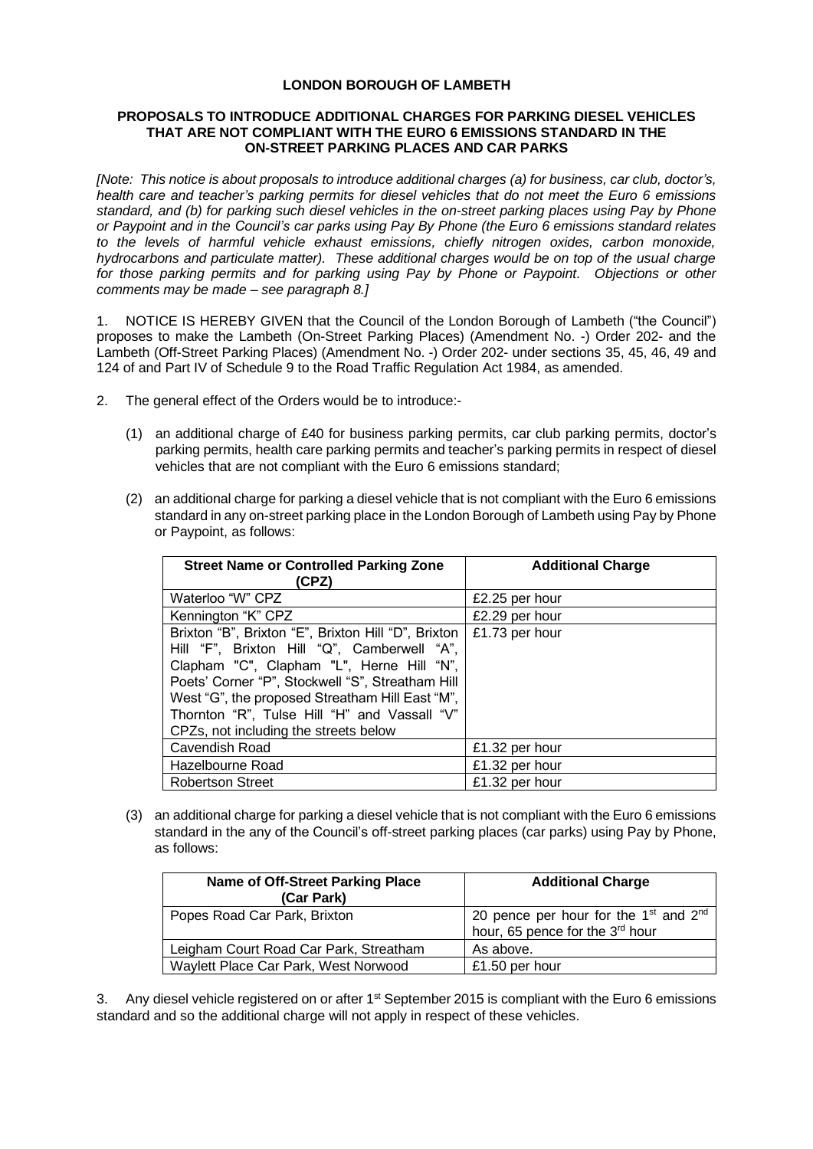## **LONDON BOROUGH OF LAMBETH**

## **PROPOSALS TO INTRODUCE ADDITIONAL CHARGES FOR PARKING DIESEL VEHICLES THAT ARE NOT COMPLIANT WITH THE EURO 6 EMISSIONS STANDARD IN THE ON-STREET PARKING PLACES AND CAR PARKS**

*[Note: This notice is about proposals to introduce additional charges (a) for business, car club, doctor's, health care and teacher's parking permits for diesel vehicles that do not meet the Euro 6 emissions standard, and (b) for parking such diesel vehicles in the on-street parking places using Pay by Phone or Paypoint and in the Council's car parks using Pay By Phone (the Euro 6 emissions standard relates to the levels of harmful vehicle exhaust emissions, chiefly nitrogen oxides, carbon monoxide, hydrocarbons and particulate matter). These additional charges would be on top of the usual charge for those parking permits and for parking using Pay by Phone or Paypoint. Objections or other comments may be made – see paragraph 8.]*

1. NOTICE IS HEREBY GIVEN that the Council of the London Borough of Lambeth ("the Council") proposes to make the Lambeth (On-Street Parking Places) (Amendment No. -) Order 202- and the Lambeth (Off-Street Parking Places) (Amendment No. -) Order 202- under sections 35, 45, 46, 49 and 124 of and Part IV of Schedule 9 to the Road Traffic Regulation Act 1984, as amended.

- 2. The general effect of the Orders would be to introduce:-
	- (1) an additional charge of £40 for business parking permits, car club parking permits, doctor's parking permits, health care parking permits and teacher's parking permits in respect of diesel vehicles that are not compliant with the Euro 6 emissions standard;
	- (2) an additional charge for parking a diesel vehicle that is not compliant with the Euro 6 emissions standard in any on-street parking place in the London Borough of Lambeth using Pay by Phone or Paypoint, as follows:

| <b>Street Name or Controlled Parking Zone</b><br>(CPZ)                                                                                                                                                                                                                                                                                            | <b>Additional Charge</b> |
|---------------------------------------------------------------------------------------------------------------------------------------------------------------------------------------------------------------------------------------------------------------------------------------------------------------------------------------------------|--------------------------|
| Waterloo "W" CPZ                                                                                                                                                                                                                                                                                                                                  | £2.25 per hour           |
| Kennington "K" CPZ                                                                                                                                                                                                                                                                                                                                | £2.29 per hour           |
| Brixton "B", Brixton "E", Brixton Hill "D", Brixton  <br>Hill "F", Brixton Hill "Q", Camberwell "A",<br>Clapham "C", Clapham "L", Herne Hill "N",<br>Poets' Corner "P", Stockwell "S", Streatham Hill<br>West "G", the proposed Streatham Hill East "M",<br>Thornton "R", Tulse Hill "H" and Vassall "V"<br>CPZs, not including the streets below | £1.73 per hour           |
| Cavendish Road                                                                                                                                                                                                                                                                                                                                    | £1.32 per hour           |
| Hazelbourne Road                                                                                                                                                                                                                                                                                                                                  | £1.32 per hour           |
| <b>Robertson Street</b>                                                                                                                                                                                                                                                                                                                           | £1.32 per hour           |

(3) an additional charge for parking a diesel vehicle that is not compliant with the Euro 6 emissions standard in the any of the Council's off-street parking places (car parks) using Pay by Phone, as follows:

| Name of Off-Street Parking Place<br>(Car Park) | <b>Additional Charge</b>                                                                         |
|------------------------------------------------|--------------------------------------------------------------------------------------------------|
| Popes Road Car Park, Brixton                   | 20 pence per hour for the 1 <sup>st</sup> and 2 <sup>nd</sup><br>hour, 65 pence for the 3rd hour |
| Leigham Court Road Car Park, Streatham         | As above.                                                                                        |
| Waylett Place Car Park, West Norwood           | £1.50 per hour                                                                                   |

3. Any diesel vehicle registered on or after 1<sup>st</sup> September 2015 is compliant with the Euro 6 emissions standard and so the additional charge will not apply in respect of these vehicles.